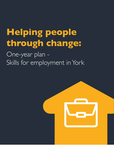# **Helping people through change:**

One-year plan -Skills for employment in York

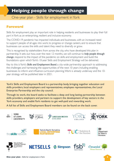# **Helping people through change**

#### One-year plan - Skills for employment in York

#### **Foreword**

Skills for employment play an important role in helping residents and businesses to play their full part in York as an enterprising, resilient and inclusive economy.

The COVID-19 pandemic has impacted individuals and businesses, with an increased need to support people of all ages into work, to progress or change careers, and to ensure that businesses can access the skills and talent they need to diversify or grow.

This is recognised by stakeholders from across the city, who have developed this plan in partnership. It sets out how, over the next 12 months, we will continue to *help people through change*, respond to the impact of the pandemic on skills and employment and build the foundations upon which York's 10-year Skills and Employment Strategy will be delivered.

Key to this is York's *Skills and Employment Board*, a city-wide partnership approach to addressing the challenges and harnessing the opportunities of the next 10 years including enabling businesses to inform and influence curriculum planning. Work is already underway and the 10 year strategy will be published later in 2021.

York's Skills and Employment Board is a partnership body, bringing together education and skills providers, local employers and representatives, employee representatives, the Local Enterprise Partnership and the city council.

Through its work, the board seeks to facilitate a deep and long lasting partnership between skills providers, employers and partners to support the development of key sectors in the York economy and enable York residents to get well-paid and rewarding work.

A full list of Skills and Employment Board members can be found on the back cover.

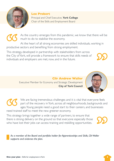

#### **Lee Probert**

Principal and Chief Executive, **York College** Chair of the Skills and Employment Board

As the country emerges from this pandemic, we know that there will be much to do to stabilise the economy.

At the heart of all strong economies are skilled individuals, working in productive sectors and benefiting from strong employment.

This strategy, developed in partnership with stakeholders from across the City of York, will provide a framework to ensure that skills needs of individuals and employers are met, now, and in the future.

> **Cllr Andrew Waller** Executive Member for Economy and Strategic Development **City of York Council**



This strategy brings together a wide range of partners, to ensure that there is strong delivery on the ground so that everyone especially those who have lost their jobs can access training and reskilling opportunities.

*As a member of the Board and portfolio holder for Apprenticeships and Skills, Cllr Waller supports and endorses the plan.*



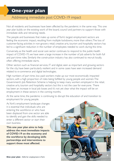### **One-year plan**

#### Addressing immediate post COVID-19 impact

Not all residents and businesses have been affected by the pandemic in the same way. This one year plan builds on the existing work of the board, council and partners to support those with immediate skills and retraining needs.

The people and businesses that make up some of York's largest employment sectors are feeling the economic impact, resulting from multiple lockdowns, more than others. The loss of customer-facing activities in non-grocery retail, creative arts, tourism and hospitality sectors has led to a significant reduction in the number of employees needed to work during this time.

Conversely, as the health and social care sector continues to respond to the public-health impact of COVID-19, we have seen a large increase in the number of job adverts for both full and part-time roles. Similarly the construction industry has also continued to recruit locally, often offering immediate starts.

Other sectors such as financial services, IT and digital, seen as important and growing sectors for the city, have been particularly resilient and in some cases have seen increased demand related to e-commerce and digital technologies.

High numbers of part time, low paid workers make up our most economically impacted sectors, with a high proportion of roles being fulfilled by young people and women. The Government's Job Retention Scheme is helping to keep many workers employed in the retail, creative arts, tourism and hospitality sectors but this is not the case for everyone. There has been an increase in local job losses and it's not yet clear what the impact will be on employment in these sectors in the coming months.

At the same time, the pandemic is continuing to disrupt the education of and transition to employment for young people.

As York's employment landscape changes it is essential that individuals who are entering the workforce or who have been displaced from one sector are able to identify and gain the skills needed to enter a different sector or start their own business.

**This one year plan aims to help address the most immediate impacts of COVID-19 on the economy and the workforce by developing skills partnerships and interventions to support those most affected.**

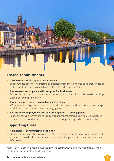# **TIP PRODUCT**

#### **Shared commitments**

- **York works skills support for individuals** Support those entering, re-entering or displaced from the workforce to re-train or upskill and connect them with good jobs in sustainable and growth sectors.
- **Empowered employers skills support for businesses** Support businesses of all sizes to access national, regional and local skills provision to help them plan, diversify and grow.
- **Pioneering provision productive partnerships** Work in partnership to make the most of national, regional and local initiatives and adapt local skills provision in response to emerging needs.
- **Education to employment and self-employment York's pipeline** Support positive progressions for all by preparing those transitioning from education or re-entering the world of work for a culture of lifelong learning and entrepreneurship

#### **Supporting these**

• **York shares - communicating the offer** Develop a clear and effective communications strategy to ensure information advice and guidance is provided to residents and businesses at the point of need and in a timely and effective way.

Pages 12 to 16 provide more detail about these commitments and importantly, how we will continue to work together to deliver them.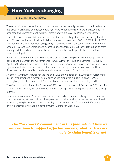# **How York is changing**

#### The economic context

The scale of the economic impact of the pandemic is not yet fully understood but its effect on the labour market and unemployment is significant. Redundancy rates have increased and it is predicted that unemployment rates will remain above pre-COVID-19 levels until 2024.

The Office for National Statistics claimant count shows the largest increase in our city for at least 35 years. In the months since lockdown the count rose from 1,800 to 5,000 in April 2020. This number has remained stable, suggesting Government initiatives such as the Job Retention Scheme (JRS) and Self Employment Income Support Scheme (SEISS), local distribution of grant funding and the resilience of particular sectors in the city have helped to keep more local people employed.

However, we know that not everyone who is out of work is eligible to claim unemployment benefits and data from the Government's Annual Survey of Hours and Earnings (ASHE), in April 2020 indicated there were 14,000 fewer workers in York than before the pandemic - with significant reductions in the number of full-time male and part-time female workers. These figures account for both York residents and those who travel to York for work.

At time of writing, the figures for the JRS and SEISS show a total of 15,600 people furloughed by York employers and a further 5,400 claiming self-employed support in January 2021. Furloughing in the first quarter of 2021 was back up at levels not seen since July 2020.

The Coronavirus Job Retention Scheme (CJRS) is set to continue until September 2021, and it's likely that those furloughed on the scheme remain at high risk of losing their jobs in the coming months.

However, in many ways York has come through the early economic challenges of the pandemic in a comparatively strong position. Unemployment has risen and some businesses have closed, particularly in high-street retail and hospitality chains but nationally, York is the UK city with the lowest percentage increase in unemployment (Centre for Cities data).

#### *The 'York works' commitment in this plan sets out how we will continue to support affected workers, whether they are able to claim benefits or not.*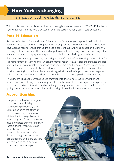#### The impact on post 16 education and training

This plan focuses on post 16 education and training but we recognise that COVID-19 has had a significant impact on the whole education and skills sector including early years education.

#### **Post 16 Education**

As many of us know first-hand, one of the most significant changes to post 16 education has been the switch to remote learning delivered through online and blended methods. Educators have worked hard to ensure that young people can continue with their education despite the challenges of the pandemic. This radical change has meant that young people are learning in the home environment, bringing advantages for some, but severe challenges for others.

For some, this new way of learning has had great benefits as it offers flexibility, opportunities for self-management of learning and can benefit mental health. However, for others these changes have had a significant negative impact on their engagement and progress. Some do not have the IT equipment or connectivity needed to access remote learning platforms, an issue that providers are trying to solve. Others have struggled with a lack of support and encouragement at home and an environment and space where they can easily engage with online learning.

The pandemic has also complicated the transition into the world of work or further and higher education pathways. Many young people have been unable to undergo work experience placements or visit their next education settings, placing increased importance on the role of quality careers education information, advice and guidance that is linked the local labour market.

#### **Apprenticeships**

The pandemic has had a negative impact on the availability of apprenticeships nationally, with a key factor being the effect of lockdowns on organisations of all sizes. Rapid change, layers of uncertainty and financial pressures have dominated across all industry sectors and for many small and micro businesses their focus has been simply on survival. When times are tough, businesses focus less on training and more on core business which has a negative effect on apprenticeships.

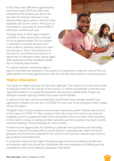In York, there were 28% fewer apprenticeship starts from August 2019-July 2020 when compared to the previous year. Key to this has been the dramatic reduction in new apprenticeship opportunities in the city's retail, hospitality and tourism sectors which, prior to the pandemic, accounted for around 30% of advertised vacancies each year.

However some of York's large employers and SMEs in other sectors have continued to recruit apprenticeships. This has resulted in sustained or increased demand and is most evident in pharmacy, dental, early years and care sector roles. It has become more common for recruitment and induction of apprentices to take place online, making digital skills, equipment and fast broadband speeds key to accessing opportunities.



As national lockdown restrictions begin to

ease, it's important that employers in key sectors are supported to make the most of the local talent pipeline and create apprenticeship roles that will help their business to recover and grow.

#### **Higher Education**

The impact on Higher Education has also been significant. The majority of courses have moved to being fully online for the majority of the previous 12 months and although universities have supported students in accessing the equipment and resources needed, these changes are disproportionately impacting students from lower income families.

In addition, it has been well documented that mental health issues amongst students have significantly increased since the start of COVID-19, in part due to the disruption of their studies and social isolation.

Alongside issues of access, students have also been exposed to greater financial insecurity due to the impact of COVID-19. Many students in York rely on part-time work in the retail and hospitality sectors to supplement their income during their time at university. With businesses in these sectors closing or scaling back their operations, part-time positions have been severely impacted resulting in financial hardship for some students.

Furthermore the opportunities for students to undertake work placements and internships have been reduced. This, along with an overall reduction in graduate jobs means that future graduates may be both less prepared for the world of work and have reduced opportunity to gain graduate level employment.

It is therefore important that Higher Education programmes are accessible by all, informed by businesses needs and provide the transferable skills, work experience and lifelong learning competencies that will be needed by graduates of the future.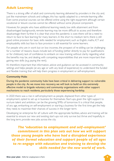#### **Adult Learning**

There is a strong offer of adult and community learning delivered by providers in the city and, just like mainstream schools and colleges, this has rapidly adapted to a remote-learning offer. Even some practical courses can be offered online using the right equipment although certain vocational or leisure courses cannot be offered without some physical component.

However, for people who have additional learning needs, low skills attainment and from disadvantaged backgrounds, remote learning may be more difficult to access and therefore disadvantage them further. It is clear that once the pandemic is over, there will be a need to return to face to face learning for many learners. In the short to medium term, there is still good online provision for basic skills needed for employment, such as English, maths, ICT and employability skills but face to face provision is still essential for some learners.

For people who are in work but on low incomes, the prospect of re-skilling can be challenging for a number of reasons. Issues include lack of funding (either directly to pay for qualifications or for childcare), lack of confidence to embark on new training without clarity regarding what the benefits may be, and dealing with competing responsibilities that are more important than gaining new skills (e.g. paying the rent).

It's therefore important that information, advice and guidance can be accessed in community settings and helps people (at any age or with any level of experience) to understand the funded and flexible training that will help them progress in employment or self-employment.

#### **Community Hubs**

During the pandemic community hubs have been critical in delivering support to vulnerable people in the city. As we move into recovery, we will look to build on this extremely effective model to brigade voluntary and community organisations with other support mechanisms to reach residents, particularly those experiencing hardship.

In 2020 there was a rise in self-employment as people, displaced from other types of employment, opted to set up in business for themselves. Start-ups, given the right support to nurture talent and ambition, can be the growing SMEs of tomorrow. It is critical that people, of any age, embarking on self-employment or starting a business for the first time get the help they need, to maximise their chances of success in the longer term.

Developing 'an enterprise for all' culture with the appropriate facilities, advice and training will be essential to ensure our new and existing start-ups not only survive but thrive and hopefully, in the long term, provide new jobs across the city.

*The 'education to employment and self-employment' commitment in this plan sets out how we will support those young people who have had a disrupted experience of their formal education and support people of all ages to re-engage with education and training to develop the skills needed for the new world of work.*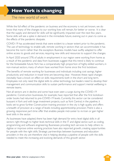# **How York is changing**

#### The new world of work

While the full effect of the pandemic on business and the economy is not yet known, we do know that many of the changes to our working lives will remain, for better or worse. It is clear that the supply and demand for skills will be significantly impacted over the next few years. Some skills will see a spike in demand in the immediate future, evening out in years to come as the effects of the pandemic dissipate.

COVID-19 has accelerated trends that were evident to a lesser extent prior to the pandemic. The use of technology to enable safe, remote working in sectors that can accommodate it has become the norm rather than the exception. Business models have swiftly adapted to offer online access to goods and services, requiring new skills and resources to support the changes.

In April 2020 around 37% of adults in employment in our region were working from home as a result of the pandemic and data from businesses suggest that this trend is likely to continue for the foreseeable future. York has a comparatively high proportion of highly-skilled workers, in non-manual sectors, many of whom have worked from home since the first lockdown.

The benefits of remote working for businesses and individuals including cost savings, higher productivity and reduction in travel time are becoming clear. However, these rapid changes inevitably have a knock on effect on skills requirements both in the short and long term. Employees not only need the digital skills to utilise technology but leaders need to develop their management and communication skills to sustain performance and support mental wellbeing in remote teams.

Not all sectors are in decline and some have even seen a surge during the COVID-19 pandemic. Construction businesses, for example, have reported that after the first lockdown order books had returned to pre-COVID-19 levels. Currently, this sector can be considered buoyant in York and with large investment projects, such as York Central, in the pipeline, it looks set to grow further. Construction training provision in the city is high quality and offers a breadth of provision at a range of levels including apprenticeship provision. There is also a growing, responsive part-time offer that enables people mid-career to re-train or gain higher level skills in the sector.

As businesses have adapted, there has been high demand for entry level digital skills in all sectors right through to higher level, technical skills in the IT and digital sector, such as coding, programming and software engineering. Businesses providing tech services to help others to digitise or improve online working practices have also reported growth, creating opportunities for people with the right skills. Strategic partnerships between businesses and education providers in the city are therefore vital in helping develop a pipeline of people with the skills needed to meet the increasing and evolving demands of this growth sector.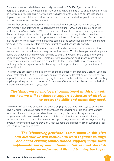For adults in sectors which have been badly impacted by COVID-19, such as retail and hospitality, digital skills have become as important as maths and English to enable people to take on new roles or access jobs in new sectors. A challenge for the city is to ensure that people displaced from low-skilled, and often low-paid, sectors are supported to gain skills in sectors with job vacancies such as the care sector.

The top four occupations featured in job vacancies<sup>\*</sup> in the last year are nurses, care givers, administrators and software developers. There are around 16,000 people employed in the health sector in York which is 14% of the entire workforce. It is therefore incredibly important that education providers in the city work in partnership to provide joined-up provision pathways and raise awareness of opportunities in this sector. Provision must reflect that people may be entering the sector for the first time; some may be seeking full-time work, others parttime, whilst those already within the sector might have distinct upskilling needs.

Businesses have told us that they value human skills such as resilience, adaptability and team work as much as the technical skills required in their sectors. This has been particularly apparent during the pandemic when workers have had to deal with unparalleled change and ongoing personal and economic challenges. Employers have also become much more aware of the importance of mental health and are committed to their responsibilities to ensure mental wellbeing in the workplace, as well as knowing how to support their employees in times of mental ill health.

The increased acceptance of flexible working and relaxation of the standard working week has been accelerated by COVID-19 as many employers acknowledge that home working has not negatively impacted productivity, as they may have feared in the past. The benefits of decoupling physical proximity with work are having far reaching effects as business leaders and individuals explore the freedoms that it gives them.

#### *The 'Empowered employers' commitment in this plan sets out how we will continue to support businesses of all sizes to access the skills and talent they need.*

The worlds of work and education are both changing and we need new ways to ensure we have a workforce that can respond to change, and can develop the skills and competencies to address the ever changing needs of business, through effective reskilling and upskilling programmes. Individual providers cannot do this in isolation. It is important that through sustainable but agile partnerships between local providers, employers and funders, we develop employer informed innovative provision which supports the creation of green, sustainable jobs and inclusive growth long term.

*The 'pioneering provision' commitment in this plan sets out how we will continue to work together to align and adapt existing public-funded support; shape local implementation of new national initiatives and develop employer-informed skills and training packages.*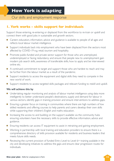# **How York is adapting**

Our skills and employment response

#### **1. York works – skills support for individuals**

Support those entering, re-entering or displaced from the workforce to re-train or upskill and connect them with good jobs in sustainable and growth sectors.

- Careers education, information, advice and guidance is available to people of all ages and reflects local labour market intelligence.
- Support individuals back into employment who have been displaced from the sectors most affected by COVID-19 e.g. retail, tourism and hospitality.
- Promote public-funded and private sector support for those who are unemployed, underemployed or facing redundancy and ensure that people new to unemployment gain modern job search skills, awareness of transferable skills, how to apply and be interviewed online etc.
- A continued commitment to target and support those who are hardest to reach and may be further from the labour market as a result of the pandemic.
- Support residents to access the equipment and digital skills they need to compete in the new world of work.
- Support residents to access targeted skills packages and relevant funding to reskill and upskill.

- Undertaking regular monitoring and analysis of labour market intelligence using data more intelligently to better understand people's destinations, supply and demand for labour in various sectors, identify gaps in training provision and ensure interventions to address gaps.
- Ensuring a greater focus on training in communities where there are high numbers of low skilled residents and offering courses to help parents and carers develop their own skills while supporting their children's English and maths education.
- Increasing the access to and building on the support available via the community hubs ensuring volunteers have the necessary skills to provide effective information, advice and guidance.
- Ensuring residents can access IT equipment to assist in retraining and gaining employment.
- Working in partnership with local training and education providers to ensure there is a comprehensive directory of skills provision available for residents and business leaders that meets future skills needs.
- Reviewing the current provision of funded Entry Level to Level 6+ training available in the city and developing initiatives to address the gaps and ensure clear progression routes for individuals.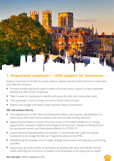

#### **2. Empowered employers – skills support for businesses**

Support businesses of all sizes to access national, regional and local skills provision to help them plan, diversify and grow.

- Promote existing and future public-funded and private sector support to help businesses develop the skills of their employees.
- Make it easier for businesses to identify and access the skills and training they need.
- Give businesses a voice to shape and inform future skills provision.
- Support and engage with peer-to-peer business support mechanisms.

- The establishment of York Skills and Employment Board with business representation to direct future skills needs and to explore and promote skills funding initiatives.
- Supporting businesses to ensure they have access to the skilled workforce or training opportunities required to address technological and economic change prioritising those in the key growth sectors and those greatly affected by COVID-19.
- Supporting local Apprenticeship Levy transfers in partnership with larger levy paying businesses, to encourage the take up of apprenticeships among SMEs.
- **•** Strengthening the business voice through strategic partnerships with education and training providers.
- Supporting a growing number of businesses to develop skills plans and identify training needs, informing the curriculum to enable more employees to be supported to upskill.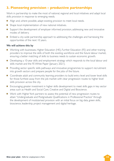#### **3. Pioneering provision – productive partnerships**

Work in partnership to make the most of national, regional and local initiatives and adapt local skills provision in response to emerging needs.

- Align and, where possible, adapt existing provision to meet local needs.
- Shape local implementation of new national initiatives.
- Support the development of employer informed provision, addressing new and innovative modes of delivery.
- **•** Embed a city-wide partnership approach to addressing the challenges and harnessing the opportunities of the next 10 years.

- Working with businesses, Higher Education (HE), Further Education (FE) and other training providers to improve the skills of both the existing workforce and the future labour market, ensuring a better matching of skills to business needs to sustain economic growth.
- Developing a 10-year skills and employment strategy which responds to the local labour and skills market and the FE White Paper (January 2021).
- Providing sector specific skills pathways and innovative programmes to support recruitment into growth sectors and prepare people for the jobs of the future.
- Coordinate adult and community learning providers to build entry level and lower level skills for those furthest away from the job market with clear progression routes to higher level skills provision across the city.
- Encouraging greater investment in higher skills development to meet skills gaps in key sector areas such as Health and Social Care, Creative and Digital and Bioscience.
- Work with Higher York partners to assess the potential of new progression routes to attain "Undergraduate and Postgraduate Qualifications in Professional Practice" through the development of modularised provision with an initial focus on big data, green skills, bioscience, leadership, project management and digital heritage.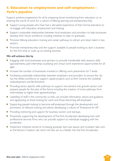#### **4. Education to employment and self-employment – York's pipeline**

Support positive progressions for all by preparing those transitioning from education or reentering the world of work for a culture of lifelong learning and entrepreneurship.

- Support young people who have had a disrupted experience of their formal education to re-engage with education, employment and training.
- Support sustainable relationships between local employers and providers to help businesses develop their future workforce including initiatives to take on graduates.
- Promote lifelong education, training and career pathways to attract and retain talent in key sectors.
- Promote entrepreneurship and the support available to people looking to start a business for the first time or scale up an existing business.

- Engaging with local businesses and partners to provide transferable skills sessions, skills appraisements, paid internships, buddying and virtual work experience opportunities for all ages.
- Increase the number of businesses involved in offering work placements for T levels.
- Facilitating sustainable relationships between employers and providers to ensure the city has the skilled workforce to support capital projects such as York Central, the Guildhall redevelopment and BioYorkshire.
- Providing sector specific skills pathways to support recruitment into growth sectors and prepare people for the jobs of the future including the creation of more pathways from intermediate to higher level apprenticeships.
- Upskilling of staff in the community so they can provide information, advice and guidance and signposting to those looking for work and those becoming self-employed.
- Supporting people looking to become self-employed through the development and promotion of relevant training and advice, developing a culture of "Enterprise for All".
- Providing mentoring and support for business owners and startups.
- **•** Proactively supporting the development of The York Accelerator, developing links with professional services firms who can provide support to individuals engaging with the accelerator.
- Implement initiatives aimed at increasing graduate start-ups spaces and incubator labs such as the Venture Creation Lab which will also act as a feeder into the York Accelerator.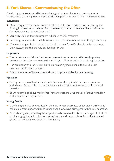#### **5. York Shares - Communicating the Offer**

Developing a coherent and effective marketing and communications strategy to ensure information advice and guidance is provided at the point of need in a timely and effective way.

#### **Individuals**

- Developing a comprehensive communication plan to ensure information on training and funding is accessible and relevant for those seeking to enter or re-enter the workforce and for those who wish to retrain or upskill.
- Using city wide partners to signpost individuals to IAG resources.
- Improving communication with businesses to help them assist employees facing redundancy.
- Communicating to individuals without Level 1 Level 3 qualifications how they can access the necessary training and relevant funding streams.

#### **Employers**

- The development of shared business engagement resources with effective signposting between partners to ensure enquiries are triaged efficiently and referred to right provision.
- **•** The promotion of a York Skills Hub to inform and signpost people to available skills provision, initiatives and support.
- Raising awareness of business networks and support available for peer learning.

#### **Provision**

- Raising awareness of local and national initiatives including Youth Hub, Apprenticeships and T-Levels, Kickstart, the Lifetime Skills Guarantee, Digital Bootcamps and other funded provisions.
- Sharing analysis of labour market intelligence to support a gap analysis of training provision and progression in key sectors.

#### **Young People**

- Developing effective communication channels to raise awareness of education, training and self-employment opportunities to young people who have disengaged with formal education.
- Co-ordinating and promoting the support available across the city for those aged 14+ at risk of disengaging from education, to raise aspirations and support those from disadvantaged groups to access employability skills and training.